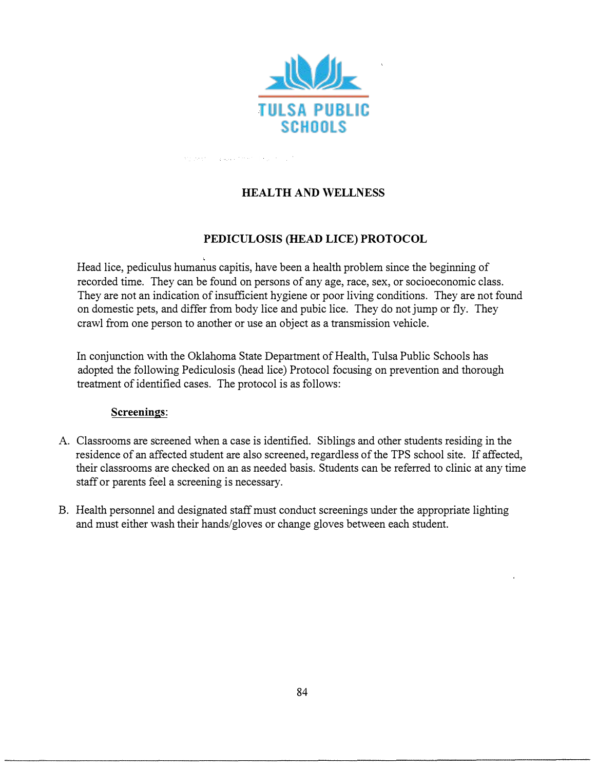

are premised and members of the state

## **HEAL TH AND WELLNESS**

### **PEDICULOSIS (HEAD LICE) PROTOCOL**

Head lice, pediculus humanus capitis, have been a health problem since the beginning of recorded time. They can be found on persons of any age, race, sex, or socioeconomic class. They are not an indication of insufficient hygiene or poor living conditions. They are not found on domestic pets, and differ from body lice and pubic lice. They do not jump or fly. They crawl from one person to another or use an object as a transmission vehicle.

In conjunction with the Oklahoma State Department of Health, Tulsa Public Schools has adopted the following Pediculosis (head lice) Protocol focusing on prevention and thorough treatment of identified cases. The protocol is as follows:

### **Screenings:**

- A. Classrooms are screened when a case is identified. Siblings and other students residing in the residence of an affected student are also screened, regardless of the TPS school site. If affected, their classrooms are checked on an as needed basis. Students can be referred to clinic at any time staff or parents f el a screening is necessary. e
- B. Health personnel and designated staff must conduct screenings under the appropriate lighting and must either wash their hands/gloves or change gloves between each student.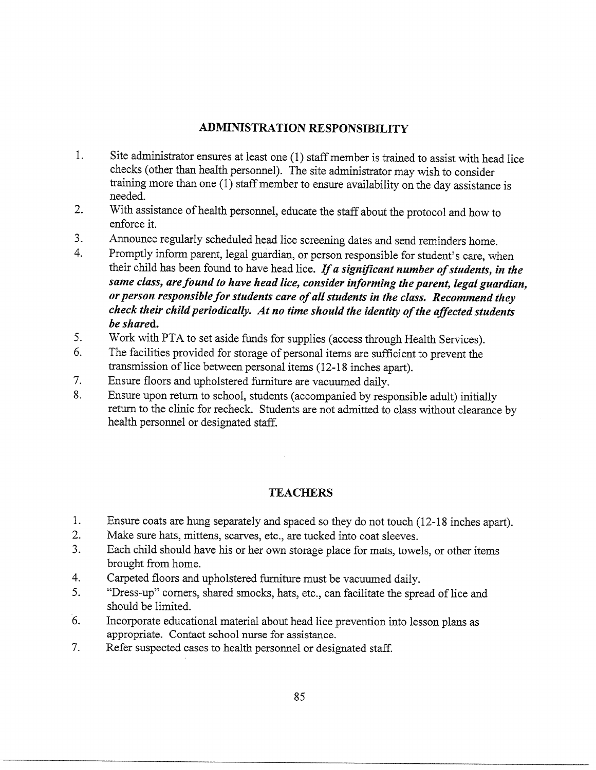### **ADMINISTRATION RESPONSIBILITY**

- 1. Site administrator ensures at least one (1) staff member is trained to assist with head lice checks (other than health personnel). The site administrator may wish to consider training more than one  $(1)$  staff member to ensure availability on the day assistance is needed.
- $2.$ With assistance of health personnel, educate the staff about the protocol and how to enforce it.
- $3<sub>1</sub>$ Announce regularly scheduled head lice screening dates and send reminders home.
- $\overline{4}$ . Promptly inform parent, legal guardian, or person responsible for student's care, when their child has been found to have head lice. If a significant number of students, in the same class, are found to have head lice, consider informing the parent, legal guardian, or person responsible for students care of all students in the class. Recommend they check their child periodically. At no time should the identity of the affected students be shared.
- 5. Work with PTA to set aside funds for supplies (access through Health Services).
- 6. The facilities provided for storage of personal items are sufficient to prevent the transmission of lice between personal items (12-18 inches apart).
- $7.$ Ensure floors and upholstered furniture are vacuumed daily.
- 8. Ensure upon return to school, students (accompanied by responsible adult) initially return to the clinic for recheck. Students are not admitted to class without clearance by health personnel or designated staff.

## **TEACHERS**

- $1.$ Ensure coats are hung separately and spaced so they do not touch (12-18 inches apart).
- $2.$ Make sure hats, mittens, scarves, etc., are tucked into coat sleeves.
- Each child should have his or her own storage place for mats, towels, or other items  $3<sub>1</sub>$ brought from home.
- $4.$ Carpeted floors and upholstered furniture must be vacuumed daily.
- 5. "Dress-up" corners, shared smocks, hats, etc., can facilitate the spread of lice and should be limited.
- 6. Incorporate educational material about head lice prevention into lesson plans as appropriate. Contact school nurse for assistance.
- $7<sup>1</sup>$ Refer suspected cases to health personnel or designated staff.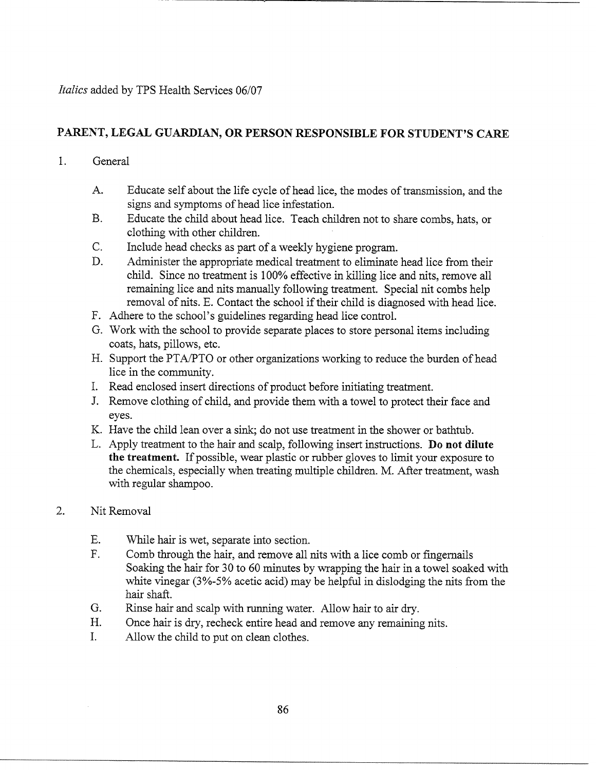## PARENT, LEGAL GUARDIAN, OR PERSON RESPONSIBLE FOR STUDENT'S CARE

#### $1<sub>1</sub>$ General

- $A_{\cdot}$ Educate self about the life cycle of head lice, the modes of transmission, and the signs and symptoms of head lice infestation.
- Educate the child about head lice. Teach children not to share combs, hats, or **B.** clothing with other children.
- $C_{\cdot}$ Include head checks as part of a weekly hygiene program.
- D. Administer the appropriate medical treatment to eliminate head lice from their child. Since no treatment is 100% effective in killing lice and nits, remove all remaining lice and nits manually following treatment. Special nit combs help removal of nits. E. Contact the school if their child is diagnosed with head lice.
- F. Adhere to the school's guidelines regarding head lice control.
- G. Work with the school to provide separate places to store personal items including coats, hats, pillows, etc.
- H. Support the PTA/PTO or other organizations working to reduce the burden of head lice in the community.
- I. Read enclosed insert directions of product before initiating treatment.
- J. Remove clothing of child, and provide them with a towel to protect their face and eyes.
- K. Have the child lean over a sink; do not use treatment in the shower or bathtub.
- L. Apply treatment to the hair and scalp, following insert instructions. Do not dilute the treatment. If possible, wear plastic or rubber gloves to limit your exposure to the chemicals, especially when treating multiple children. M. After treatment, wash with regular shampoo.

#### $2.$ Nit Removal

- $E.$ While hair is wet, separate into section.
- $F_{\perp}$ Comb through the hair, and remove all nits with a lice comb or fingernails Soaking the hair for 30 to 60 minutes by wrapping the hair in a towel soaked with white vinegar (3%-5% acetic acid) may be helpful in dislodging the nits from the hair shaft.
- G. Rinse hair and scalp with running water. Allow hair to air dry.
- H. Once hair is dry, recheck entire head and remove any remaining nits.
- $\mathbf{L}$ Allow the child to put on clean clothes.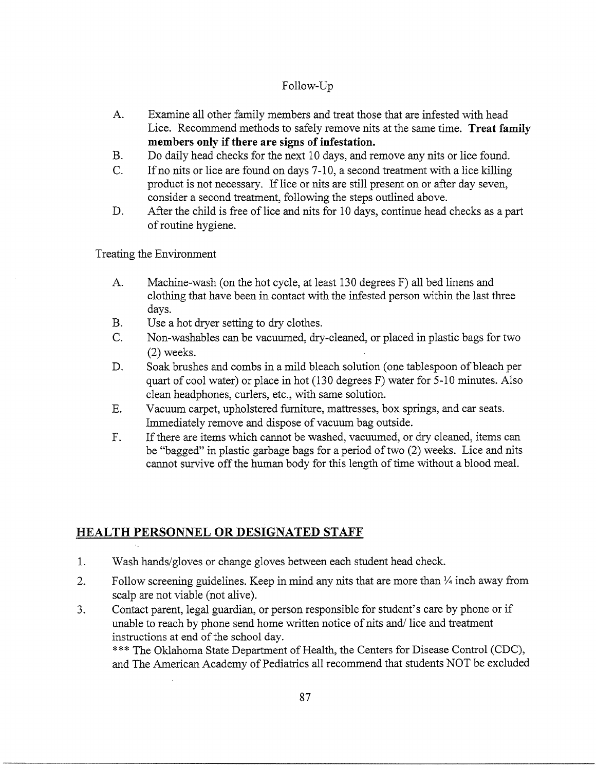### Follow-Up

- $A_{-}$ Examine all other family members and treat those that are infested with head Lice. Recommend methods to safely remove nits at the same time. Treat family members only if there are signs of infestation.
- $B<sub>r</sub>$ Do daily head checks for the next 10 days, and remove any nits or lice found.
- If no nits or lice are found on days 7-10, a second treatment with a lice killing  $C_{\cdot}$ product is not necessary. If lice or nits are still present on or after day seven, consider a second treatment, following the steps outlined above.
- After the child is free of lice and nits for 10 days, continue head checks as a part  $D_{\cdot}$ of routine hygiene.

Treating the Environment

- Machine-wash (on the hot cycle, at least 130 degrees F) all bed linens and  $A_{\cdot}$ clothing that have been in contact with the infested person within the last three days.
- **B.** Use a hot dryer setting to dry clothes.
- Non-washables can be vacuumed, dry-cleaned, or placed in plastic bags for two  $C_{\cdot}$  $(2)$  weeks.
- Soak brushes and combs in a mild bleach solution (one tablespoon of bleach per D. quart of cool water) or place in hot (130 degrees F) water for 5-10 minutes. Also clean headphones, curlers, etc., with same solution.
- Vacuum carpet, upholstered furniture, mattresses, box springs, and car seats.  $E_{\rm c}$ Immediately remove and dispose of vacuum bag outside.
- $F_{\text{L}}$ If there are items which cannot be washed, vacuumed, or dry cleaned, items can be "bagged" in plastic garbage bags for a period of two (2) weeks. Lice and nits cannot survive off the human body for this length of time without a blood meal.

## **HEALTH PERSONNEL OR DESIGNATED STAFF**

- $1.$ Wash hands/gloves or change gloves between each student head check.
- $\overline{2}$ . Follow screening guidelines. Keep in mind any nits that are more than  $\frac{1}{4}$  inch away from scalp are not viable (not alive).
- 3. Contact parent, legal guardian, or person responsible for student's care by phone or if unable to reach by phone send home written notice of nits and/lice and treatment instructions at end of the school day.

\*\*\* The Oklahoma State Department of Health, the Centers for Disease Control (CDC), and The American Academy of Pediatrics all recommend that students NOT be excluded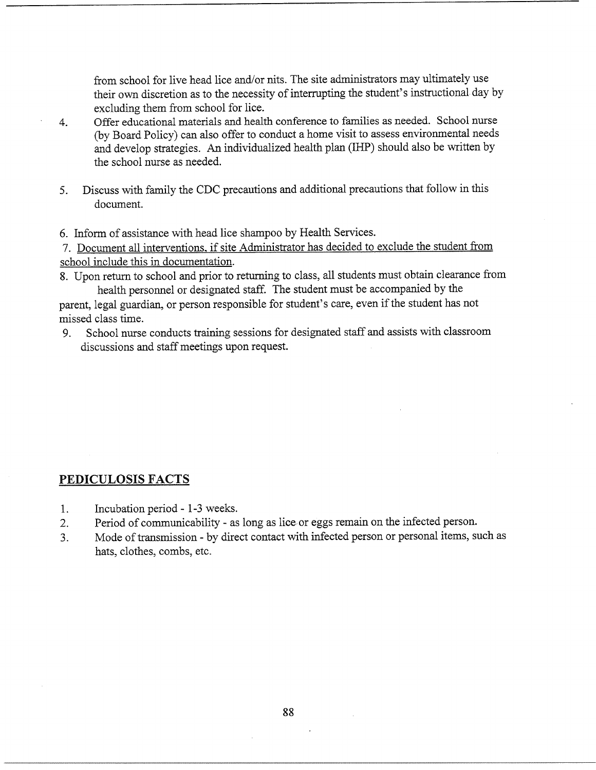from school for live head lice and/or nits. The site administrators may ultimately use their own discretion as to the necessity of interrupting the student's instructional day by excluding them from school for lice.

- Offer educational materials and health conference to families as needed. School nurse  $4.$ (by Board Policy) can also offer to conduct a home visit to assess environmental needs and develop strategies. An individualized health plan (IHP) should also be written by the school nurse as needed.
- Discuss with family the CDC precautions and additional precautions that follow in this  $5<sub>1</sub>$ document.

6. Inform of assistance with head lice shampoo by Health Services.

7. Document all interventions, if site Administrator has decided to exclude the student from school include this in documentation.

8. Upon return to school and prior to returning to class, all students must obtain clearance from health personnel or designated staff. The student must be accompanied by the

parent, legal guardian, or person responsible for student's care, even if the student has not missed class time.

School nurse conducts training sessions for designated staff and assists with classroom 9. discussions and staff meetings upon request.

### PEDICULOSIS FACTS

- $1.$ Incubation period - 1-3 weeks.
- $2.$ Period of communicability - as long as lice or eggs remain on the infected person.
- Mode of transmission by direct contact with infected person or personal items, such as  $3<sub>1</sub>$ hats, clothes, combs, etc.